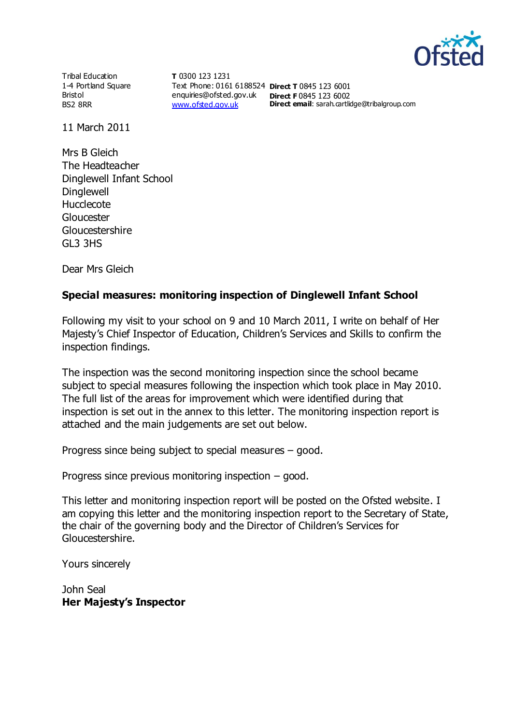

Tribal Education 1-4 Portland Square Bristol BS2 8RR

**T** 0300 123 1231 Text Phone: 0161 6188524 **Direct T** 0845 123 6001 enquiries@ofsted.gov.uk **Direct F** 0845 123 6002 [www.ofsted.gov.uk](http://www.ofsted.gov.uk/)

**Direct email:** sarah.cartlidge@tribalgroup.com

11 March 2011

Mrs B Gleich The Headteacher Dinglewell Infant School **Dinglewell** Hucclecote **Gloucester** Gloucestershire GL3 3HS

Dear Mrs Gleich

## **Special measures: monitoring inspection of Dinglewell Infant School**

Following my visit to your school on 9 and 10 March 2011, I write on behalf of Her Majesty's Chief Inspector of Education, Children's Services and Skills to confirm the inspection findings.

The inspection was the second monitoring inspection since the school became subject to special measures following the inspection which took place in May 2010. The full list of the areas for improvement which were identified during that inspection is set out in the annex to this letter. The monitoring inspection report is attached and the main judgements are set out below.

Progress since being subject to special measures – good.

Progress since previous monitoring inspection – good.

This letter and monitoring inspection report will be posted on the Ofsted website. I am copying this letter and the monitoring inspection report to the Secretary of State, the chair of the governing body and the Director of Children's Services for Gloucestershire.

Yours sincerely

John Seal **Her Majesty's Inspector**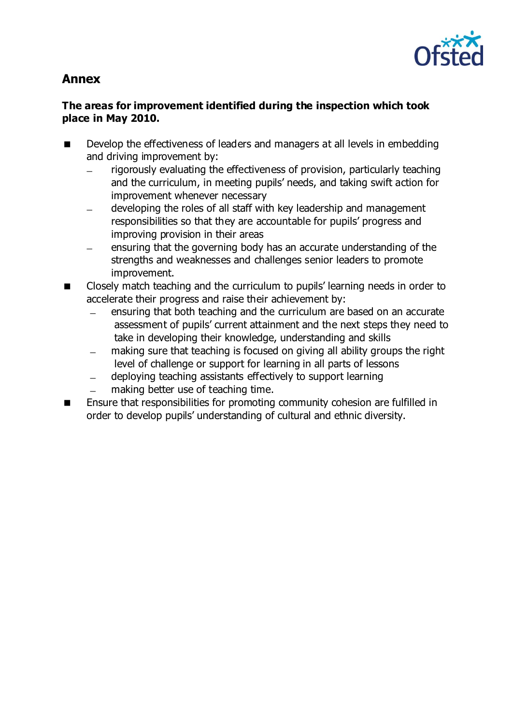

# **Annex**

# **The areas for improvement identified during the inspection which took place in May 2010.**

- Develop the effectiveness of leaders and managers at all levels in embedding and driving improvement by:
	- rigorously evaluating the effectiveness of provision, particularly teaching and the curriculum, in meeting pupils' needs, and taking swift action for improvement whenever necessary
	- developing the roles of all staff with key leadership and management  $\overline{\phantom{0}}$ responsibilities so that they are accountable for pupils' progress and improving provision in their areas
	- ensuring that the governing body has an accurate understanding of the strengths and weaknesses and challenges senior leaders to promote improvement.
- Closely match teaching and the curriculum to pupils' learning needs in order to accelerate their progress and raise their achievement by:
	- ensuring that both teaching and the curriculum are based on an accurate  $\equiv$ assessment of pupils' current attainment and the next steps they need to take in developing their knowledge, understanding and skills
	- making sure that teaching is focused on giving all ability groups the right  $\equiv$ level of challenge or support for learning in all parts of lessons
	- deploying teaching assistants effectively to support learning  $\frac{1}{2}$
	- making better use of teaching time.
- Ensure that responsibilities for promoting community cohesion are fulfilled in order to develop pupils' understanding of cultural and ethnic diversity.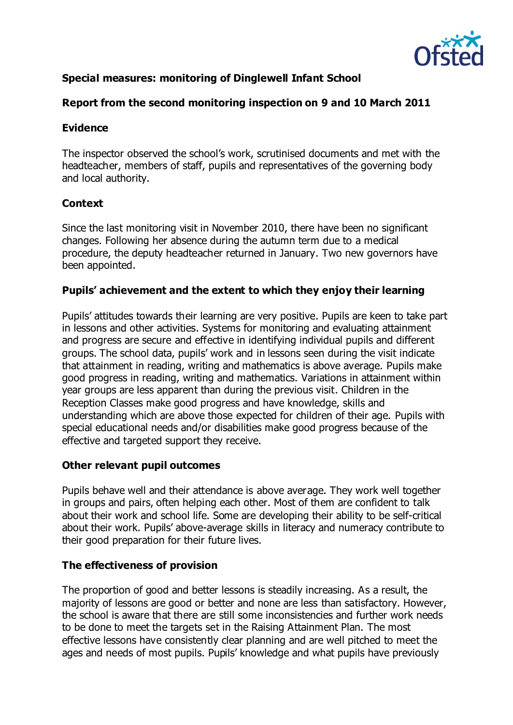

# **Special measures: monitoring of Dinglewell Infant School**

## **Report from the second monitoring inspection on 9 and 10 March 2011**

## **Evidence**

The inspector observed the school's work, scrutinised documents and met with the headteacher, members of staff, pupils and representatives of the governing body and local authority.

## **Context**

Since the last monitoring visit in November 2010, there have been no significant changes. Following her absence during the autumn term due to a medical procedure, the deputy headteacher returned in January. Two new governors have been appointed.

## **Pupils' achievement and the extent to which they enjoy their learning**

Pupils' attitudes towards their learning are very positive. Pupils are keen to take part in lessons and other activities. Systems for monitoring and evaluating attainment and progress are secure and effective in identifying individual pupils and different groups. The school data, pupils' work and in lessons seen during the visit indicate that attainment in reading, writing and mathematics is above average. Pupils make good progress in reading, writing and mathematics. Variations in attainment within year groups are less apparent than during the previous visit. Children in the Reception Classes make good progress and have knowledge, skills and understanding which are above those expected for children of their age. Pupils with special educational needs and/or disabilities make good progress because of the effective and targeted support they receive.

## **Other relevant pupil outcomes**

Pupils behave well and their attendance is above average. They work well together in groups and pairs, often helping each other. Most of them are confident to talk about their work and school life. Some are developing their ability to be self-critical about their work. Pupils' above-average skills in literacy and numeracy contribute to their good preparation for their future lives.

## **The effectiveness of provision**

The proportion of good and better lessons is steadily increasing. As a result, the majority of lessons are good or better and none are less than satisfactory. However, the school is aware that there are still some inconsistencies and further work needs to be done to meet the targets set in the Raising Attainment Plan. The most effective lessons have consistently clear planning and are well pitched to meet the ages and needs of most pupils. Pupils' knowledge and what pupils have previously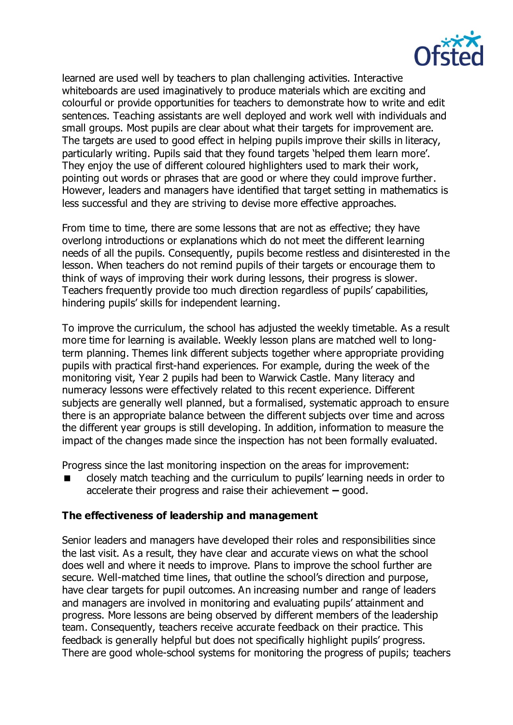

learned are used well by teachers to plan challenging activities. Interactive whiteboards are used imaginatively to produce materials which are exciting and colourful or provide opportunities for teachers to demonstrate how to write and edit sentences. Teaching assistants are well deployed and work well with individuals and small groups. Most pupils are clear about what their targets for improvement are. The targets are used to good effect in helping pupils improve their skills in literacy, particularly writing. Pupils said that they found targets 'helped them learn more'. They enjoy the use of different coloured highlighters used to mark their work, pointing out words or phrases that are good or where they could improve further. However, leaders and managers have identified that target setting in mathematics is less successful and they are striving to devise more effective approaches.

From time to time, there are some lessons that are not as effective; they have overlong introductions or explanations which do not meet the different learning needs of all the pupils. Consequently, pupils become restless and disinterested in the lesson. When teachers do not remind pupils of their targets or encourage them to think of ways of improving their work during lessons, their progress is slower. Teachers frequently provide too much direction regardless of pupils' capabilities, hindering pupils' skills for independent learning.

To improve the curriculum, the school has adjusted the weekly timetable. As a result more time for learning is available. Weekly lesson plans are matched well to longterm planning. Themes link different subjects together where appropriate providing pupils with practical first-hand experiences. For example, during the week of the monitoring visit, Year 2 pupils had been to Warwick Castle. Many literacy and numeracy lessons were effectively related to this recent experience. Different subjects are generally well planned, but a formalised, systematic approach to ensure there is an appropriate balance between the different subjects over time and across the different year groups is still developing. In addition, information to measure the impact of the changes made since the inspection has not been formally evaluated.

Progress since the last monitoring inspection on the areas for improvement:

■ closely match teaching and the curriculum to pupils' learning needs in order to accelerate their progress and raise their achievement **–** good.

## **The effectiveness of leadership and management**

Senior leaders and managers have developed their roles and responsibilities since the last visit. As a result, they have clear and accurate views on what the school does well and where it needs to improve. Plans to improve the school further are secure. Well-matched time lines, that outline the school's direction and purpose, have clear targets for pupil outcomes. An increasing number and range of leaders and managers are involved in monitoring and evaluating pupils' attainment and progress. More lessons are being observed by different members of the leadership team. Consequently, teachers receive accurate feedback on their practice. This feedback is generally helpful but does not specifically highlight pupils' progress. There are good whole-school systems for monitoring the progress of pupils; teachers